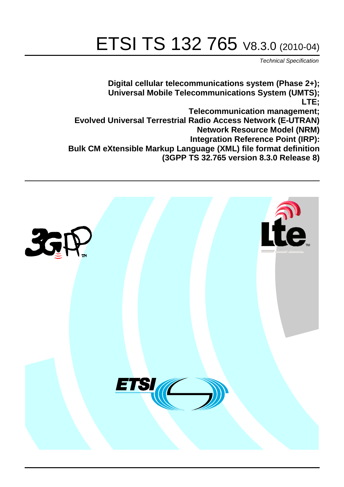# ETSI TS 132 765 V8.3.0 (2010-04)

*Technical Specification*

**Digital cellular telecommunications system (Phase 2+); Universal Mobile Telecommunications System (UMTS); LTE; Telecommunication management; Evolved Universal Terrestrial Radio Access Network (E-UTRAN) Network Resource Model (NRM) Integration Reference Point (IRP): Bulk CM eXtensible Markup Language (XML) file format definition (3GPP TS 32.765 version 8.3.0 Release 8)**

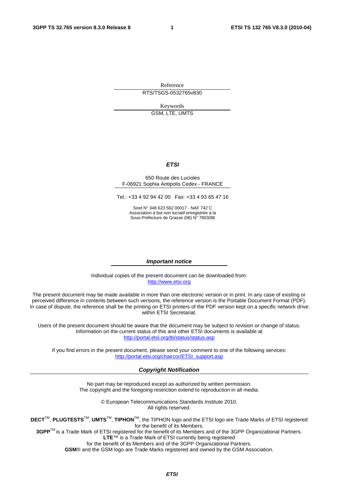Reference RTS/TSGS-0532765v830

Keywords

GSM, LTE, UMTS

#### *ETSI*

#### 650 Route des Lucioles F-06921 Sophia Antipolis Cedex - FRANCE

Tel.: +33 4 92 94 42 00 Fax: +33 4 93 65 47 16

Siret N° 348 623 562 00017 - NAF 742 C Association à but non lucratif enregistrée à la Sous-Préfecture de Grasse (06) N° 7803/88

#### *Important notice*

Individual copies of the present document can be downloaded from: [http://www.etsi.org](http://www.etsi.org/)

The present document may be made available in more than one electronic version or in print. In any case of existing or perceived difference in contents between such versions, the reference version is the Portable Document Format (PDF). In case of dispute, the reference shall be the printing on ETSI printers of the PDF version kept on a specific network drive within ETSI Secretariat.

Users of the present document should be aware that the document may be subject to revision or change of status. Information on the current status of this and other ETSI documents is available at <http://portal.etsi.org/tb/status/status.asp>

If you find errors in the present document, please send your comment to one of the following services: [http://portal.etsi.org/chaircor/ETSI\\_support.asp](http://portal.etsi.org/chaircor/ETSI_support.asp)

#### *Copyright Notification*

No part may be reproduced except as authorized by written permission. The copyright and the foregoing restriction extend to reproduction in all media.

> © European Telecommunications Standards Institute 2010. All rights reserved.

**DECT**TM, **PLUGTESTS**TM, **UMTS**TM, **TIPHON**TM, the TIPHON logo and the ETSI logo are Trade Marks of ETSI registered for the benefit of its Members.

**3GPP**TM is a Trade Mark of ETSI registered for the benefit of its Members and of the 3GPP Organizational Partners. **LTE**™ is a Trade Mark of ETSI currently being registered

for the benefit of its Members and of the 3GPP Organizational Partners.

**GSM**® and the GSM logo are Trade Marks registered and owned by the GSM Association.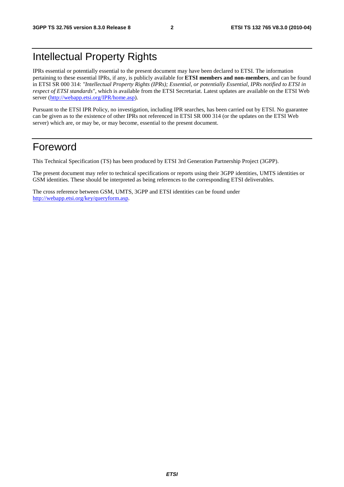### Intellectual Property Rights

IPRs essential or potentially essential to the present document may have been declared to ETSI. The information pertaining to these essential IPRs, if any, is publicly available for **ETSI members and non-members**, and can be found in ETSI SR 000 314: *"Intellectual Property Rights (IPRs); Essential, or potentially Essential, IPRs notified to ETSI in respect of ETSI standards"*, which is available from the ETSI Secretariat. Latest updates are available on the ETSI Web server ([http://webapp.etsi.org/IPR/home.asp\)](http://webapp.etsi.org/IPR/home.asp).

Pursuant to the ETSI IPR Policy, no investigation, including IPR searches, has been carried out by ETSI. No guarantee can be given as to the existence of other IPRs not referenced in ETSI SR 000 314 (or the updates on the ETSI Web server) which are, or may be, or may become, essential to the present document.

### Foreword

This Technical Specification (TS) has been produced by ETSI 3rd Generation Partnership Project (3GPP).

The present document may refer to technical specifications or reports using their 3GPP identities, UMTS identities or GSM identities. These should be interpreted as being references to the corresponding ETSI deliverables.

The cross reference between GSM, UMTS, 3GPP and ETSI identities can be found under [http://webapp.etsi.org/key/queryform.asp.](http://webapp.etsi.org/key/queryform.asp)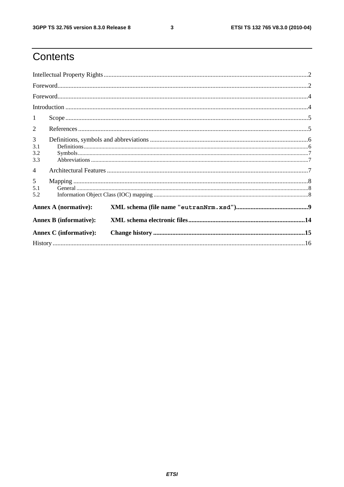$\mathbf{3}$ 

### Contents

| $\textbf{For} \textbf{word}.\textcolor{red}{\textbf{not}}. \textcolor{red}{\textbf{1}} \textcolor{red}{\textbf{1}} \textcolor{red}{\textbf{1}} \textcolor{red}{\textbf{1}} \textcolor{red}{\textbf{1}} \textcolor{red}{\textbf{1}} \textcolor{red}{\textbf{1}} \textcolor{red}{\textbf{1}} \textcolor{red}{\textbf{1}} \textcolor{red}{\textbf{1}} \textcolor{red}{\textbf{1}} \textcolor{red}{\textbf{1}} \textcolor{red}{\textbf{1}} \textcolor{red}{\textbf{1}} \textcolor{red}{\textbf{1}} \textcolor{red}{\textbf{1}} \textcolor$ |  |  |  |  |
|----------------------------------------------------------------------------------------------------------------------------------------------------------------------------------------------------------------------------------------------------------------------------------------------------------------------------------------------------------------------------------------------------------------------------------------------------------------------------------------------------------------------------------------|--|--|--|--|
|                                                                                                                                                                                                                                                                                                                                                                                                                                                                                                                                        |  |  |  |  |
|                                                                                                                                                                                                                                                                                                                                                                                                                                                                                                                                        |  |  |  |  |
| 1                                                                                                                                                                                                                                                                                                                                                                                                                                                                                                                                      |  |  |  |  |
| 2                                                                                                                                                                                                                                                                                                                                                                                                                                                                                                                                      |  |  |  |  |
| $\overline{3}$<br>3.1<br>3.2<br>3.3                                                                                                                                                                                                                                                                                                                                                                                                                                                                                                    |  |  |  |  |
| $\overline{4}$                                                                                                                                                                                                                                                                                                                                                                                                                                                                                                                         |  |  |  |  |
| 5 <sup>5</sup><br>5.1<br>5.2                                                                                                                                                                                                                                                                                                                                                                                                                                                                                                           |  |  |  |  |
| <b>Annex A (normative):</b>                                                                                                                                                                                                                                                                                                                                                                                                                                                                                                            |  |  |  |  |
| <b>Annex B</b> (informative):                                                                                                                                                                                                                                                                                                                                                                                                                                                                                                          |  |  |  |  |
| <b>Annex C</b> (informative):                                                                                                                                                                                                                                                                                                                                                                                                                                                                                                          |  |  |  |  |
|                                                                                                                                                                                                                                                                                                                                                                                                                                                                                                                                        |  |  |  |  |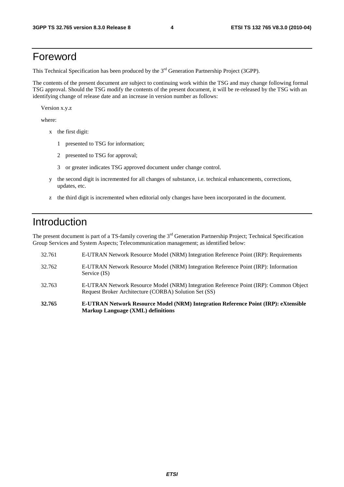### Foreword

This Technical Specification has been produced by the 3<sup>rd</sup> Generation Partnership Project (3GPP).

The contents of the present document are subject to continuing work within the TSG and may change following formal TSG approval. Should the TSG modify the contents of the present document, it will be re-released by the TSG with an identifying change of release date and an increase in version number as follows:

Version x.y.z

where:

- x the first digit:
	- 1 presented to TSG for information;
	- 2 presented to TSG for approval;
	- 3 or greater indicates TSG approved document under change control.
- y the second digit is incremented for all changes of substance, i.e. technical enhancements, corrections, updates, etc.
- z the third digit is incremented when editorial only changes have been incorporated in the document.

### Introduction

The present document is part of a TS-family covering the 3<sup>rd</sup> Generation Partnership Project; Technical Specification Group Services and System Aspects; Telecommunication management; as identified below:

- 32.761 E-UTRAN Network Resource Model (NRM) Integration Reference Point (IRP): Requirements 32.762 E-UTRAN Network Resource Model (NRM) Integration Reference Point (IRP): Information Service (IS) 32.763 E-UTRAN Network Resource Model (NRM) Integration Reference Point (IRP): Common Object Request Broker Architecture (CORBA) Solution Set (SS)
- **32.765 E-UTRAN Network Resource Model (NRM) Integration Reference Point (IRP): eXtensible Markup Language (XML) definitions**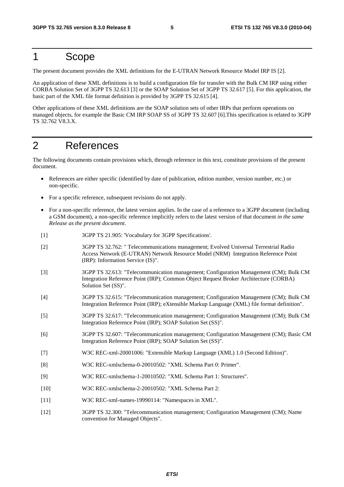### 1 Scope

The present document provides the XML definitions for the E-UTRAN Network Resource Model IRP IS [2].

An application of these XML definitions is to build a configuration file for transfer with the Bulk CM IRP using either CORBA Solution Set of 3GPP TS 32.613 [3] or the SOAP Solution Set of 3GPP TS 32.617 [5]. For this application, the basic part of the XML file format definition is provided by 3GPP TS 32.615 [4].

Other applications of these XML definitions are the SOAP solution sets of other IRPs that perform operations on managed objects, for example the Basic CM IRP SOAP SS of 3GPP TS 32.607 [6].This specification is related to 3GPP TS 32.762 V8.3.X.

### 2 References

The following documents contain provisions which, through reference in this text, constitute provisions of the present document.

- References are either specific (identified by date of publication, edition number, version number, etc.) or non-specific.
- For a specific reference, subsequent revisions do not apply.
- For a non-specific reference, the latest version applies. In the case of a reference to a 3GPP document (including a GSM document), a non-specific reference implicitly refers to the latest version of that document *in the same Release as the present document*.
- [1] 3GPP TS 21.905: 'Vocabulary for 3GPP Specifications'.
- [2] 3GPP TS 32.762: " Telecommunications management; Evolved Universal Terrestrial Radio Access Network (E-UTRAN) Network Resource Model (NRM) Integration Reference Point (IRP): Information Service (IS)".
- [3] 3GPP TS 32.613: "Telecommunication management; Configuration Management (CM); Bulk CM Integration Reference Point (IRP); Common Object Request Broker Architecture (CORBA) Solution Set (SS)".
- [4] 3GPP TS 32.615: "Telecommunication management; Configuration Management (CM); Bulk CM Integration Reference Point (IRP); eXtensible Markup Language (XML) file format definition".
- [5] 3GPP TS 32.617: "Telecommunication management; Configuration Management (CM); Bulk CM Integration Reference Point (IRP); SOAP Solution Set (SS)".
- [6] 3GPP TS 32.607: "Telecommunication management; Configuration Management (CM); Basic CM Integration Reference Point (IRP); SOAP Solution Set (SS)".
- [7] W3C REC-xml-20001006: "Extensible Markup Language (XML) 1.0 (Second Edition)".
- [8] W3C REC-xmlschema-0-20010502: "XML Schema Part 0: Primer".
- [9] W3C REC-xmlschema-1-20010502: "XML Schema Part 1: Structures".
- [10] W3C REC-xmlschema-2-20010502: "XML Schema Part 2:
- [11] W3C REC-xml-names-19990114: "Namespaces in XML".
- [12] 3GPP TS 32.300: "Telecommunication management; Configuration Management (CM); Name convention for Managed Objects".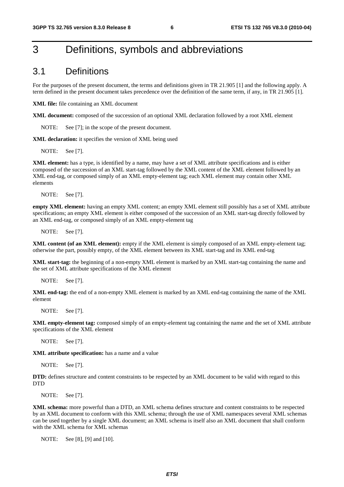### 3 Definitions, symbols and abbreviations

#### 3.1 Definitions

For the purposes of the present document, the terms and definitions given in TR 21.905 [1] and the following apply. A term defined in the present document takes precedence over the definition of the same term, if any, in TR 21.905 [1].

**XML file:** file containing an XML document

**XML document:** composed of the succession of an optional XML declaration followed by a root XML element

NOTE: See [7]; in the scope of the present document.

**XML declaration:** it specifies the version of XML being used

NOTE: See [7].

**XML element:** has a type, is identified by a name, may have a set of XML attribute specifications and is either composed of the succession of an XML start-tag followed by the XML content of the XML element followed by an XML end-tag, or composed simply of an XML empty-element tag; each XML element may contain other XML elements

NOTE: See [7].

**empty XML element:** having an empty XML content; an empty XML element still possibly has a set of XML attribute specifications; an empty XML element is either composed of the succession of an XML start-tag directly followed by an XML end-tag, or composed simply of an XML empty-element tag

NOTE: See [7].

**XML content (of an XML element):** empty if the XML element is simply composed of an XML empty-element tag; otherwise the part, possibly empty, of the XML element between its XML start-tag and its XML end-tag

**XML start-tag:** the beginning of a non-empty XML element is marked by an XML start-tag containing the name and the set of XML attribute specifications of the XML element

NOTE: See [7].

**XML end-tag:** the end of a non-empty XML element is marked by an XML end-tag containing the name of the XML element

NOTE: See [7].

**XML empty-element tag:** composed simply of an empty-element tag containing the name and the set of XML attribute specifications of the XML element

NOTE: See [7].

**XML attribute specification:** has a name and a value

NOTE: See [7].

**DTD:** defines structure and content constraints to be respected by an XML document to be valid with regard to this **DTD** 

NOTE: See [7].

**XML schema:** more powerful than a DTD, an XML schema defines structure and content constraints to be respected by an XML document to conform with this XML schema; through the use of XML namespaces several XML schemas can be used together by a single XML document; an XML schema is itself also an XML document that shall conform with the XML schema for XML schemas

NOTE: See [8], [9] and [10].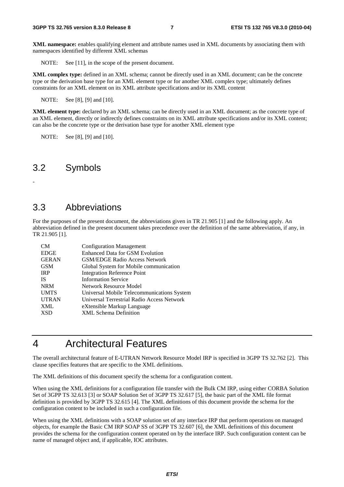**XML namespace:** enables qualifying element and attribute names used in XML documents by associating them with namespaces identified by different XML schemas

NOTE: See [11], in the scope of the present document.

**XML complex type:** defined in an XML schema; cannot be directly used in an XML document; can be the concrete type or the derivation base type for an XML element type or for another XML complex type; ultimately defines constraints for an XML element on its XML attribute specifications and/or its XML content

NOTE: See [8], [9] and [10].

**XML element type:** declared by an XML schema; can be directly used in an XML document; as the concrete type of an XML element, directly or indirectly defines constraints on its XML attribute specifications and/or its XML content; can also be the concrete type or the derivation base type for another XML element type

NOTE: See [8], [9] and [10].

### 3.2 Symbols

-

### 3.3 Abbreviations

For the purposes of the present document, the abbreviations given in TR 21.905 [1] and the following apply. An abbreviation defined in the present document takes precedence over the definition of the same abbreviation, if any, in TR 21.905 [1].

| CM           | <b>Configuration Management</b>            |
|--------------|--------------------------------------------|
| <b>EDGE</b>  | <b>Enhanced Data for GSM Evolution</b>     |
| <b>GERAN</b> | <b>GSM/EDGE Radio Access Network</b>       |
| <b>GSM</b>   | Global System for Mobile communication     |
| <b>IRP</b>   | <b>Integration Reference Point</b>         |
| <b>IS</b>    | <b>Information Service</b>                 |
| <b>NRM</b>   | Network Resource Model                     |
| <b>UMTS</b>  | Universal Mobile Telecommunications System |
| <b>UTRAN</b> | Universal Terrestrial Radio Access Network |
| <b>XML</b>   | eXtensible Markup Language                 |
| <b>XSD</b>   | <b>XML Schema Definition</b>               |

### 4 Architectural Features

The overall architectural feature of E-UTRAN Network Resource Model IRP is specified in 3GPP TS 32.762 [2]. This clause specifies features that are specific to the XML definitions.

The XML definitions of this document specify the schema for a configuration content.

When using the XML definitions for a configuration file transfer with the Bulk CM IRP, using either CORBA Solution Set of 3GPP TS 32.613 [3] or SOAP Solution Set of 3GPP TS 32.617 [5], the basic part of the XML file format definition is provided by 3GPP TS 32.615 [4]. The XML definitions of this document provide the schema for the configuration content to be included in such a configuration file.

When using the XML definitions with a SOAP solution set of any interface IRP that perform operations on managed objects, for example the Basic CM IRP SOAP SS of 3GPP TS 32.607 [6], the XML definitions of this document provides the schema for the configuration content operated on by the interface IRP. Such configuration content can be name of managed object and, if applicable, IOC attributes.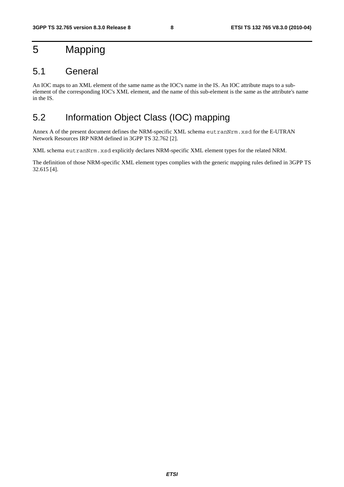### 5 Mapping

### 5.1 General

An IOC maps to an XML element of the same name as the IOC's name in the IS. An IOC attribute maps to a subelement of the corresponding IOC's XML element, and the name of this sub-element is the same as the attribute's name in the IS.

### 5.2 Information Object Class (IOC) mapping

Annex A of the present document defines the NRM-specific XML schema eutranNrm.xsd for the E-UTRAN Network Resources IRP NRM defined in 3GPP TS 32.762 [2].

XML schema eutranNrm.xsd explicitly declares NRM-specific XML element types for the related NRM.

The definition of those NRM-specific XML element types complies with the generic mapping rules defined in 3GPP TS 32.615 [4].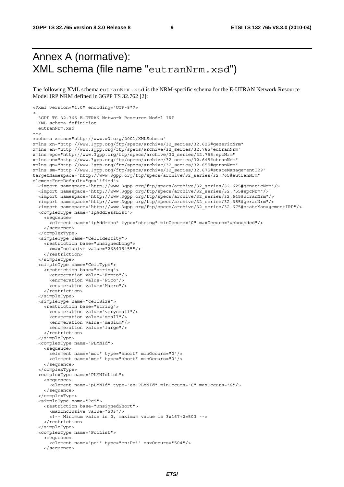### Annex A (normative): XML schema (file name "eutranNrm.xsd")

The following XML schema eutranNrm.xsd is the NRM-specific schema for the E-UTRAN Network Resource Model IRP NRM defined in 3GPP TS 32.762 [2]:

```
<?xml version="1.0" encoding="UTF-8"?> 
2 - 3GPP TS 32.765 E-UTRAN Network Resource Model IRP 
   XML schema definition 
   eutranNrm.xsd 
--> 
<schema xmlns="http://www.w3.org/2001/XMLSchema" 
xmlns:xn="http://www.3gpp.org/ftp/specs/archive/32_series/32.625#genericNrm" 
xmlns:en="http://www.3gpp.org/ftp/specs/archive/32_series/32.765#eutranNrm" 
xmlns:epc="http://www.3gpp.org/ftp/specs/archive/32_series/32.755#epcNrm" 
xmlns:un="http://www.3gpp.org/ftp/specs/archive/32_series/32.645#utranNrm" 
xmlns:gn="http://www.3gpp.org/ftp/specs/archive/32_series/32.655#geranNrm" 
xmlns:sm="http://www.3gpp.org/ftp/specs/archive/32_series/32.675#stateManagementIRP" 
targetNamespace="http://www.3gpp.org/ftp/specs/archive/32_series/32.765#eutranNrm" 
elementFormDefault="qualified"> 
   <import namespace="http://www.3gpp.org/ftp/specs/archive/32_series/32.625#genericNrm"/> 
   <import namespace="http://www.3gpp.org/ftp/specs/archive/32_series/32.755#epcNrm"/> 
   <import namespace="http://www.3gpp.org/ftp/specs/archive/32_series/32.645#utranNrm"/> 
   <import namespace="http://www.3gpp.org/ftp/specs/archive/32_series/32.655#geranNrm"/> 
   <import namespace="http://www.3gpp.org/ftp/specs/archive/32_series/32.675#stateManagementIRP"/> 
   <complexType name="IpAddressList"> 
     <sequence> 
       <element name="ipAddress" type="string" minOccurs="0" maxOccurs="unbounded"/> 
     </sequence> 
   </complexType> 
   <simpleType name="CellIdentity"> 
     <restriction base="unsignedLong"> 
       <maxInclusive value="268435455"/> 
     </restriction> 
   </simpleType> 
   <simpleType name="CellType"> 
     <restriction base="string"> 
       <enumeration value="Femto"/> 
       <enumeration value="Pico"/> 
       <enumeration value="Macro"/> 
     </restriction> 
   </simpleType> 
   <simpleType name="cellSize"> 
     <restriction base="string"> 
       <enumeration value="verysmall"/> 
       <enumeration value="small"/> 
       <enumeration value="medium"/> 
       <enumeration value="large"/> 
     </restriction> 
   </simpleType> 
   <complexType name="PLMNId"> 
     <sequence> 
       <element name="mcc" type="short" minOccurs="0"/> 
       <element name="mnc" type="short" minOccurs="0"/> 
     </sequence> 
   </complexType> 
   <complexType name="PLMNIdList"> 
     <sequence> 
       <element name="pLMNId" type="en:PLMNId" minOccurs="0" maxOccurs="6"/> 
     </sequence> 
   </complexType> 
   <simpleType name="Pci"> 
     <restriction base="unsignedShort"> 
       <maxInclusive value="503"/> 
       <!-- Minimum value is 0, maximum value is 3x167+2=503 --> 
     </restriction> 
   </simpleType> 
   <complexType name="PciList"> 
     <sequence> 
       <element name="pci" type="en:Pci" maxOccurs="504"/> 
     </sequence>
```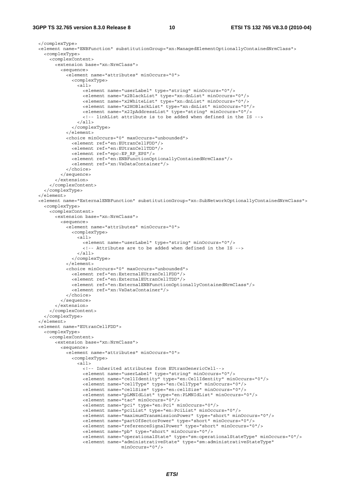#### **3GPP TS 32.765 version 8.3.0 Release 8 10 ETSI TS 132 765 V8.3.0 (2010-04)**

```
 </complexType> 
  <element name="ENBFunction" substitutionGroup="xn:ManagedElementOptionallyContainedNrmClass"> 
    <complexType> 
       <complexContent> 
         <extension base="xn:NrmClass"> 
           <sequence> 
             <element name="attributes" minOccurs="0"> 
               <complexType> 
                 <all> 
                   <element name="userLabel" type="string" minOccurs="0"/> 
                   <element name="x2BlackList" type="xn:dnList" minOccurs="0"/> 
                   <element name="x2WhiteList" type="xn:dnList" minOccurs="0"/> 
                   <element name="x2HOBlackList" type="xn:dnList" minOccurs="0"/> 
                   <element name="x2IpAddressList" type="string" minOccurs="0"/> 
                   <!-- linkList attribute is to be added when defined in the IS --> 
                \langleall\rangle </complexType> 
             </element> 
             <choice minOccurs="0" maxOccurs="unbounded"> 
               <element ref="en:EUtranCellFDD"/> 
               <element ref="en:EUtranCellTDD"/> 
               <element ref="epc:EP_RP_EPS"/> 
               <element ref="en:ENBFunctionOptionallyContainedNrmClass"/> 
               <element ref="xn:VsDataContainer"/> 
             </choice> 
           </sequence> 
         </extension> 
       </complexContent> 
     </complexType> 
  >1element\sim <element name="ExternalENBFunction" substitutionGroup="xn:SubNetworkOptionallyContainedNrmClass"> 
    <complexType> 
       <complexContent> 
         <extension base="xn:NrmClass"> 
           <sequence> 
             <element name="attributes" minOccurs="0"> 
               <complexType> 
                 <all> 
                   <element name="userLabel" type="string" minOccurs="0"/> 
                   <!-- Attributes are to be added when defined in the IS --> 
                \langleall\rangle </complexType> 
             </element> 
             <choice minOccurs="0" maxOccurs="unbounded"> 
               <element ref="en:ExternalEUtranCellFDD"/> 
               <element ref="en:ExternalEUtranCellTDD"/> 
               <element ref="en:ExternalENBFunctionOptionallyContainedNrmClass"/> 
               <element ref="xn:VsDataContainer"/> 
             </choice> 
           </sequence> 
         </extension> 
       </complexContent> 
     </complexType> 
   </element> 
  <element name="EUtranCellFDD"> 
    <complexType> 
       <complexContent> 
         <extension base="xn:NrmClass"> 
           <sequence> 
             <element name="attributes" minOccurs="0"> 
               <complexType> 
                 <all> 
                   <!-- Inherited attributes from EUtranGenericCell--> 
                   <element name="userLabel" type="string" minOccurs="0"/> 
                   <element name="cellIdentity" type="en:CellIdentity" minOccurs="0"/> 
                   <element name="cellType" type="en:CellType" minOccurs="0"/> 
                   <element name="cellSize" type="en:cellSize" minOccurs="0"/> 
                   <element name="pLMNIdList" type="en:PLMNIdList" minOccurs="0"/> 
 <element name="tac" minOccurs="0"/> 
 <element name="pci" type="en:Pci" minOccurs="0"/> 
                   <element name="pciList" type="en:PciList" minOccurs="0"/> 
                   <element name="maximumTransmissionPower" type="short" minOccurs="0"/> 
                   <element name="partOfSectorPower" type="short" minOccurs="0"/> 
                   <element name="referenceSignalPower" type="short" minOccurs="0"/> 
                   <element name="pb" type="short" minOccurs="0"/> 
                   <element name="operationalState" type="sm:operationalStateType" minOccurs="0"/> 
                   <element name="administrativeState" type="sm:administrativeStateType"
```

```
 minOccurs="0"/>
```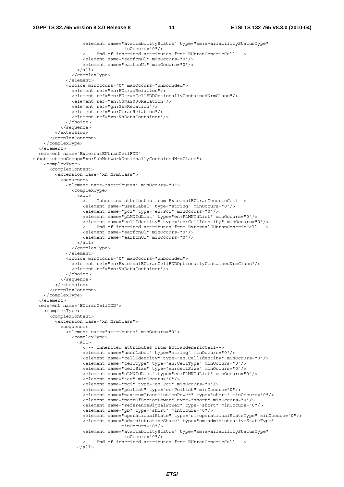```
 <element name="availabilityStatus" type="sm:availabilityStatusType" 
                                   minOccurs="0"/> 
                    <!-- End of inherited attributes from EUtranGenericCell --> 
                    <element name="earfcnDl" minOccurs="0"/> 
                    <element name="earfcnUl" minOccurs="0"/> 
                 \langleall\rangle </complexType> 
              </element> 
             <choice minOccurs="0" maxOccurs="unbounded"> 
                <element ref="en:EUtranRelation"/> 
                <element ref="en:EUtranCellFDDOptionallyContainedNrmClass"/> 
                <element ref="en:Cdma2000Relation"/> 
                <element ref="gn:GsmRelation"/> 
                <element ref="un:UtranRelation"/> 
                <element ref="xn:VsDataContainer"/> 
             </choice> 
           </sequence> 
         </extension> 
       </complexContent> 
     </complexType> 
   </element> 
   <element name="ExternalEUtranCellFDD" 
substitutionGroup="xn:SubNetworkOptionallyContainedNrmClass"> 
     <complexType> 
       <complexContent> 
         <extension base="xn:NrmClass"> 
           <sequence> 
             <element name="attributes" minOccurs="0"> 
                <complexType> 
                 \geqall\leq <!-- Inherited attributes from ExternalEUtranGenericCell--> 
                    <element name="userLabel" type="string" minOccurs="0"/> 
                    <element name="pci" type="en:Pci" minOccurs="0"/> 
                    <element name="pLMNIdList" type="en:PLMNIdList" minOccurs="0"/> 
                    <element name="cellIdentity" type="en:CellIdentity" minOccurs="0"/> 
                    <!-- End of inherited attributes from ExternalEUtranGenericCell --> 
                    <element name="earfcnDl" minOccurs="0"/> 
                    <element name="earfcnUl" minOccurs="0"/> 
                 \langleall\rangle </complexType> 
              </element> 
              <choice minOccurs="0" maxOccurs="unbounded"> 
                <element ref="en:ExternalEUtranCellFDDOptionallyContainedNrmClass"/> 
                <element ref="xn:VsDataContainer"/> 
             </choice> 
           </sequence> 
         </extension> 
       </complexContent> 
     </complexType> 
   </element> 
   <element name="EUtranCellTDD"> 
     <complexType> 
       <complexContent> 
         <extension base="xn:NrmClass"> 
           <sequence> 
             <element name="attributes" minOccurs="0"> 
                <complexType> 
                  <all> 
                    <!-- Inherited attributes from EUtranGenericCell--> 
                    <element name="userLabel" type="string" minOccurs="0"/> 
                    <element name="cellIdentity" type="en:CellIdentity" minOccurs="0"/> 
                    <element name="cellType" type="en:CellType" minOccurs="0"/> 
                    <element name="cellSize" type="en:cellSize" minOccurs="0"/> 
                    <element name="pLMNIdList" type="en:PLMNIdList" minOccurs="0"/> 
                    <element name="tac" minOccurs="0"/> 
                    <element name="pci" type="en:Pci" minOccurs="0"/> 
                    <element name="pciList" type="en:PciList" minOccurs="0"/> 
                    <element name="maximumTransmissionPower" type="short" minOccurs="0"/> 
                    <element name="partOfSectorPower" type="short" minOccurs="0"/> 
                    <element name="referenceSignalPower" type="short" minOccurs="0"/> 
                    <element name="pb" type="short" minOccurs="0"/> 
                    <element name="operationalState" type="sm:operationalStateType" minOccurs="0"/> 
                    <element name="administrativeState" type="sm:administrativeStateType" 
                                   minOccurs="0"/> 
                    <element name="availabilityStatus" type="sm:availabilityStatusType" 
                                   minOccurs="0"/> 
                    <!-- End of inherited attributes from EUtranGenericCell --> 
                 \epsilon/all\epsilon
```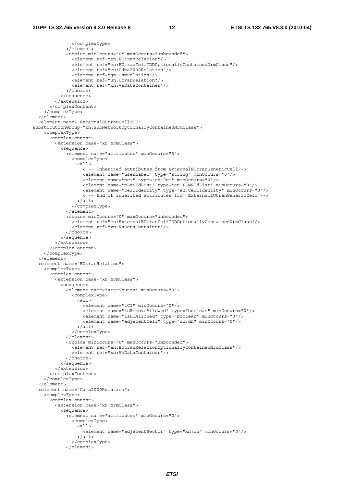```
 </complexType> 
              </element> 
              <choice minOccurs="0" maxOccurs="unbounded"> 
                <element ref="en:EUtranRelation"/> 
                <element ref="en:EUtranCellTDDOptionallyContainedNrmClass"/> 
                <element ref="en:Cdma2000Relation"/> 
                <element ref="gn:GsmRelation"/> 
                <element ref="un:UtranRelation"/> 
                <element ref="xn:VsDataContainer"/> 
              </choice> 
           </sequence> 
         </extension> 
       </complexContent> 
     </complexType> 
   </element> 
   <element name="ExternalEUtranCellTDD" 
substitutionGroup="xn:SubNetworkOptionallyContainedNrmClass"> 
     <complexType> 
       <complexContent> 
         <extension base="xn:NrmClass"> 
           <sequence> 
              <element name="attributes" minOccurs="0"> 
                <complexType> 
                  <all> 
                    <!-- Inherited attributes from ExternalEUtranGenericCell--> 
                    <element name="userLabel" type="string" minOccurs="0"/> 
                    <element name="pci" type="en:Pci" minOccurs="0"/> 
                    <element name="pLMNIdList" type="en:PLMNIdList" minOccurs="0"/> 
                    <element name="cellIdentity" type="en:CellIdentity" minOccurs="0"/> 
                    <!-- End of inherited attributes from ExternalEUtranGenericCell --> 
                 \epsilon/all\epsilon </complexType> 
              </element> 
              <choice minOccurs="0" maxOccurs="unbounded"> 
                <element ref="en:ExternalEUtranCellTDDOptionallyContainedNrmClass"/> 
                <element ref="xn:VsDataContainer"/> 
              </choice> 
           </sequence> 
         </extension> 
       </complexContent> 
     </complexType> 
   </element> 
   <element name="EUtranRelation"> 
     <complexType> 
       <complexContent> 
         <extension base="xn:NrmClass"> 
           <sequence> 
             <element name="attributes" minOccurs="0"> 
                <complexType> 
                 \overline{all} <element name="tCI" minOccurs="0"/> 
                    <element name="isRemoveAllowed" type="boolean" minOccurs="0"/> 
 <element name="isHOAllowed" type="boolean" minOccurs="0"/> 
 <element name="adjacentCell" type="xn:dn" minOccurs="0"/> 
                  </all> 
                </complexType> 
              </element> 
              <choice minOccurs="0" maxOccurs="unbounded"> 
                <element ref="en:EUtranRelationOptionallyContainedNrmClass"/> 
                <element ref="xn:VsDataContainer"/> 
              </choice> 
           </sequence> 
         </extension> 
       </complexContent> 
     </complexType> 
   </element> 
   <element name="Cdma2000Relation"> 
     <complexType> 
       <complexContent> 
         <extension base="xn:NrmClass"> 
           <sequence> 
             <element name="attributes" minOccurs="0"> 
                <complexType> 
                  <all> 
                    <element name="adjacentSector" type="xn:dn" minOccurs="0"/> 
                 \epsilon/all> </complexType> 
              </element>
```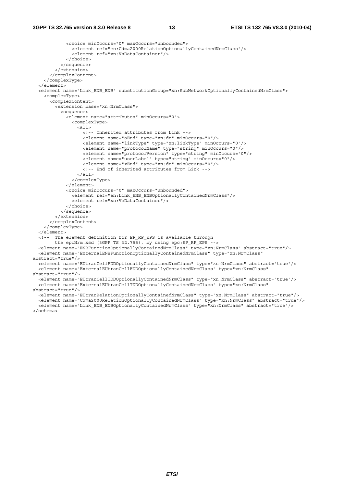```
 <choice minOccurs="0" maxOccurs="unbounded"> 
                <element ref="en:Cdma2000RelationOptionallyContainedNrmClass"/> 
                <element ref="xn:VsDataContainer"/> 
             </choice> 
           </sequence> 
         </extension> 
       </complexContent> 
     </complexType> 
   </element> 
   <element name="Link_ENB_ENB" substitutionGroup="xn:SubNetworkOptionallyContainedNrmClass"> 
     <complexType> 
       <complexContent> 
         <extension base="xn:NrmClass"> 
           <sequence> 
             <element name="attributes" minOccurs="0"> 
               <complexType> 
                 \leq alls
                    <!-- Inherited attributes from Link --> 
                    <element name="aEnd" type="xn:dn" minOccurs="0"/> 
                    <element name="linkType" type="xn:linkType" minOccurs="0"/> 
                    <element name="protocolName" type="string" minOccurs="0"/> 
                    <element name="protocolVersion" type="string" minOccurs="0"/> 
                    <element name="userLabel" type="string" minOccurs="0"/> 
                    <element name="zEnd" type="xn:dn" minOccurs="0"/> 
                    <!-- End of inherited attributes from Link --> 
                 \langleall\rangle </complexType> 
              </element> 
             <choice minOccurs="0" maxOccurs="unbounded"> 
               <element ref="en:Link_ENB_ENBOptionallyContainedNrmClass"/> 
                <element ref="xn:VsDataContainer"/> 
             </choice> 
           </sequence> 
         </extension> 
       </complexContent> 
     </complexType> 
   </element> 
   <!-- The element definition for EP_RP_EPS is available through 
        the epcNrm.xsd (3GPP TS 32.755), by using epc:EP_RP_EPS -->
   <element name="ENBFunctionOptionallyContainedNrmClass" type="xn:NrmClass" abstract="true"/> 
   <element name="ExternalENBFunctionOptionallyContainedNrmClass" type="xn:NrmClass" 
abstract="true"/> 
   <element name="EUtranCellFDDOptionallyContainedNrmClass" type="xn:NrmClass" abstract="true"/> 
   <element name="ExternalEUtranCellFDDOptionallyContainedNrmClass" type="xn:NrmClass" 
abstract="true"/> 
   <element name="EUtranCellTDDOptionallyContainedNrmClass" type="xn:NrmClass" abstract="true"/> 
   <element name="ExternalEUtranCellTDDOptionallyContainedNrmClass" type="xn:NrmClass" 
abstract="true"/> 
   <element name="EUtranRelationOptionallyContainedNrmClass" type="xn:NrmClass" abstract="true"/> 
   <element name="Cdma2000RelationOptionallyContainedNrmClass" type="xn:NrmClass" abstract="true"/> 
   <element name="Link_ENB_ENBOptionallyContainedNrmClass" type="xn:NrmClass" abstract="true"/>
```
</schema>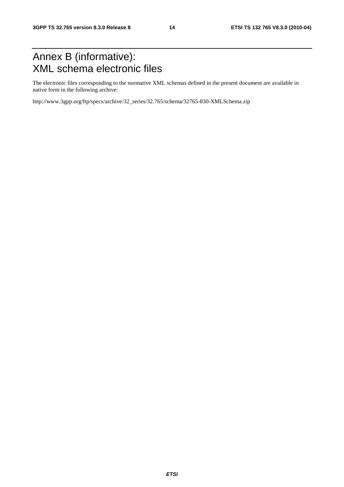### Annex B (informative): XML schema electronic files

The electronic files corresponding to the normative XML schemas defined in the present document are available in native form in the following archive:

http://www.3gpp.org/ftp/specs/archive/32\_series/32.765/schema/32765-830-XMLSchema.zip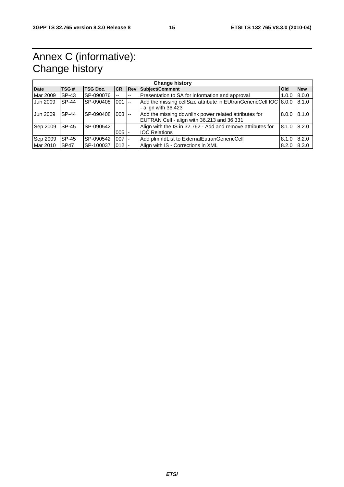### Annex C (informative): Change history

| <b>Change history</b> |              |                 |            |            |                                                                                                     |            |            |  |
|-----------------------|--------------|-----------------|------------|------------|-----------------------------------------------------------------------------------------------------|------------|------------|--|
| <b>Date</b>           | TSG#         | <b>TSG Doc.</b> | <b>ICR</b> | <b>Rev</b> | Subject/Comment                                                                                     | <b>Old</b> | <b>New</b> |  |
| Mar 2009              | SP-43        | SP-090076       |            |            | Presentation to SA for information and approval                                                     | 1.0.0      | 8.0.0      |  |
| Jun 2009              | <b>SP-44</b> | SP-090408       | $001$ --   |            | Add the missing cellSize attribute in EUtranGenericCell IOC 8.0.0<br>- align with $36.423$          |            | 8.1.0      |  |
| Jun 2009              | <b>SP-44</b> | SP-090408       | $003$ --   |            | Add the missing downlink power related attributes for<br>EUTRAN Cell - align with 36.213 and 36.331 | 8.0.0      | 18.1.0     |  |
| Sep 2009              | <b>SP-45</b> | SP-090542       | $005$  -   |            | Align with the IS in 32.762 - Add and remove attributes for<br><b>IOC Relations</b>                 | 8.1.0      | 8.2.0      |  |
| Sep 2009              | SP-45        | SP-090542       | $007 -$    |            | Add plmnldList to ExternalEutranGenericCell                                                         | 8.1.0      | 8.2.0      |  |
| Mar 2010              | <b>SP47</b>  | SP-100037       | $012 -$    |            | Align with IS - Corrections in XML                                                                  | 8.2.0      | 8.3.0      |  |